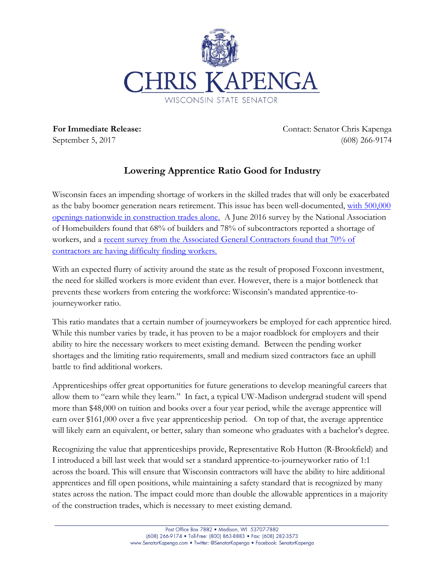

**For Immediate Release:** September 5, 2017

Contact: Senator Chris Kapenga (608) 266-9174

## **Lowering Apprentice Ratio Good for Industry**

Wisconsin faces an impending shortage of workers in the skilled trades that will only be exacerbated as the baby boomer generation nears retirement. This issue has been well-documented, with 500,000 [openings nationwide in construction trades alone.](http://thehill.com/blogs/pundits-blog/labor/345005-help-wanted-500000-construction-jobs-need-to-be-filled-washington?utm_source=Sailthru&utm_medium=email&utm_campaign=Issue:%202017-08-03%20Construction%20Dive%20Newsletter%20%5Bissue:11431%5D&utm_term=Construction%20Divehttp://thehill.com/blogs/pundits-blog/labor/345005-help-wanted-500000-construction-jobs-need-to-be-filled-washington?utm_source=Sailthru&utm_medium=email&utm_campaign=Issue:%202017-08-03%20Construction%20Dive%20Newsletter%20%5Bissue:11431%5D&utm_term=Construction%20Dive) A June 2016 survey by the National Association of Homebuilders found that 68% of builders and 78% of subcontractors reported a shortage of workers, and a [recent survey from the Associated General Contractors](http://www.constructiondive.com/news/agc-70-of-contractors-are-having-trouble-finding-skilled-labor/503863/) found that 70% of [contractors are having difficulty finding workers.](http://www.constructiondive.com/news/agc-70-of-contractors-are-having-trouble-finding-skilled-labor/503863/)

With an expected flurry of activity around the state as the result of proposed Foxconn investment, the need for skilled workers is more evident than ever. However, there is a major bottleneck that prevents these workers from entering the workforce: Wisconsin's mandated apprentice-tojourneyworker ratio.

This ratio mandates that a certain number of journeyworkers be employed for each apprentice hired. While this number varies by trade, it has proven to be a major roadblock for employers and their ability to hire the necessary workers to meet existing demand. Between the pending worker shortages and the limiting ratio requirements, small and medium sized contractors face an uphill battle to find additional workers.

Apprenticeships offer great opportunities for future generations to develop meaningful careers that allow them to "earn while they learn." In fact, a typical UW-Madison undergrad student will spend more than \$48,000 on tuition and books over a four year period, while the average apprentice will earn over \$161,000 over a five year apprenticeship period. On top of that, the average apprentice will likely earn an equivalent, or better, salary than someone who graduates with a bachelor's degree.

Recognizing the value that apprenticeships provide, Representative Rob Hutton (R-Brookfield) and I introduced a bill last week that would set a standard apprentice-to-journeyworker ratio of 1:1 across the board. This will ensure that Wisconsin contractors will have the ability to hire additional apprentices and fill open positions, while maintaining a safety standard that is recognized by many states across the nation. The impact could more than double the allowable apprentices in a majority of the construction trades, which is necessary to meet existing demand.